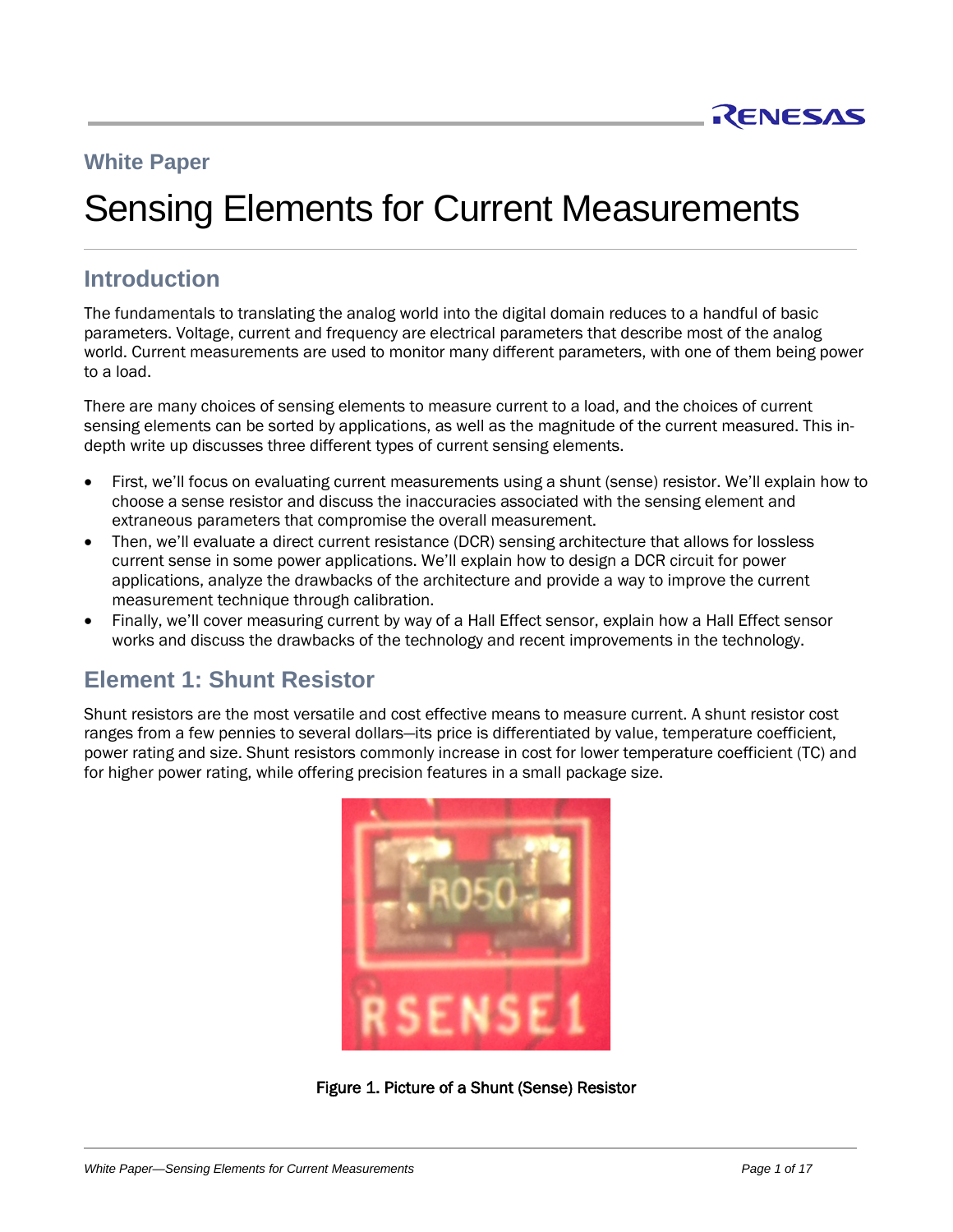

# **White Paper**

# Sensing Elements for Current Measurements

# **Introduction**

The fundamentals to translating the analog world into the digital domain reduces to a handful of basic parameters. Voltage, current and frequency are electrical parameters that describe most of the analog world. Current measurements are used to monitor many different parameters, with one of them being power to a load.

There are many choices of sensing elements to measure current to a load, and the choices of current sensing elements can be sorted by applications, as well as the magnitude of the current measured. This indepth write up discusses three different types of current sensing elements.

- First, we'll focus on evaluating current measurements using a shunt (sense) resistor. We'll explain how to choose a sense resistor and discuss the inaccuracies associated with the sensing element and extraneous parameters that compromise the overall measurement.
- Then, we'll evaluate a direct current resistance (DCR) sensing architecture that allows for lossless current sense in some power applications. We'll explain how to design a DCR circuit for power applications, analyze the drawbacks of the architecture and provide a way to improve the current measurement technique through calibration.
- Finally, we'll cover measuring current by way of a Hall Effect sensor, explain how a Hall Effect sensor works and discuss the drawbacks of the technology and recent improvements in the technology.

# **Element 1: Shunt Resistor**

Shunt resistors are the most versatile and cost effective means to measure current. A shunt resistor cost ranges from a few pennies to several dollars—its price is differentiated by value, temperature coefficient, power rating and size. Shunt resistors commonly increase in cost for lower temperature coefficient (TC) and for higher power rating, while offering precision features in a small package size.



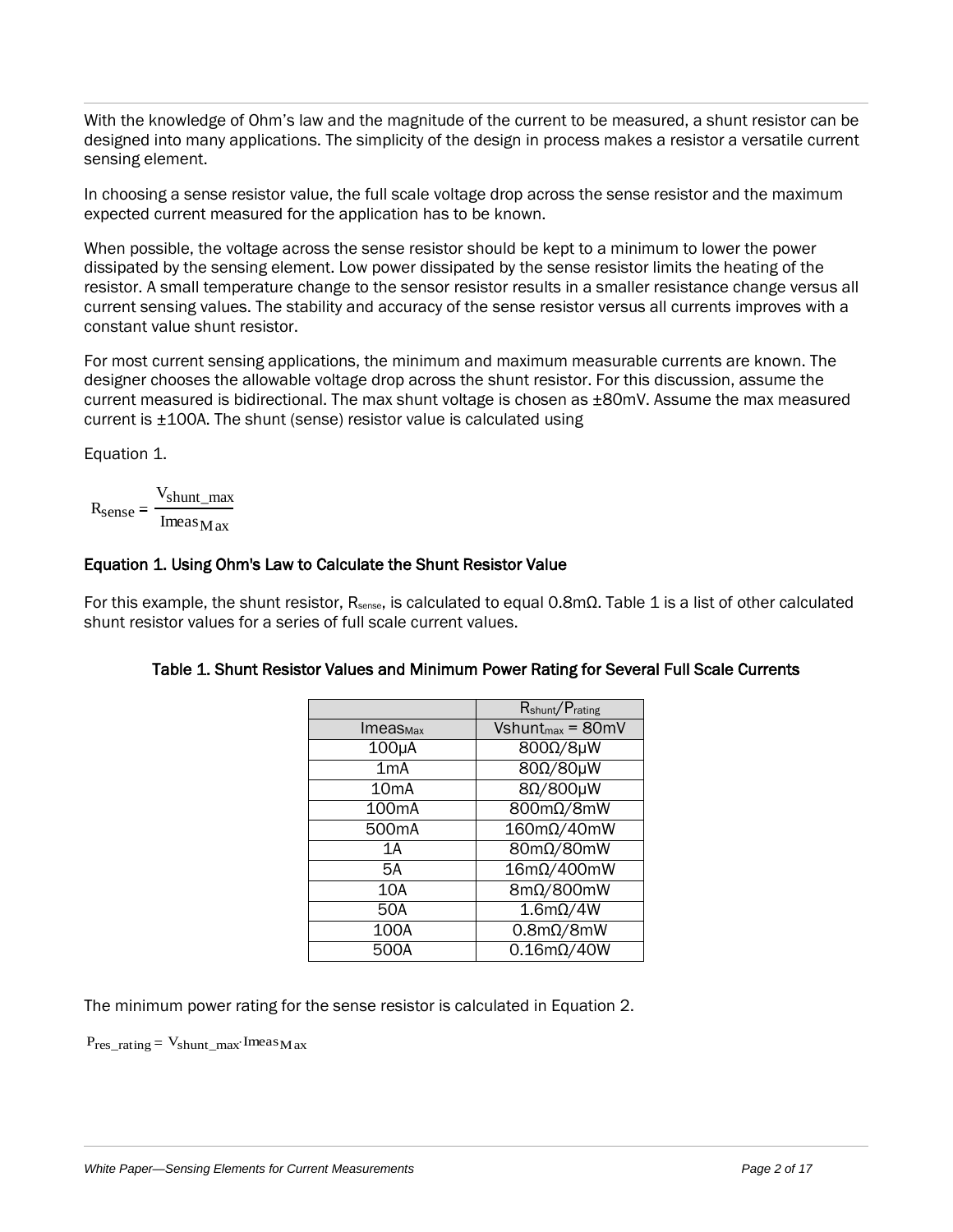With the knowledge of Ohm's law and the magnitude of the current to be measured, a shunt resistor can be designed into many applications. The simplicity of the design in process makes a resistor a versatile current sensing element.

In choosing a sense resistor value, the full scale voltage drop across the sense resistor and the maximum expected current measured for the application has to be known.

When possible, the voltage across the sense resistor should be kept to a minimum to lower the power dissipated by the sensing element. Low power dissipated by the sense resistor limits the heating of the resistor. A small temperature change to the sensor resistor results in a smaller resistance change versus all current sensing values. The stability and accuracy of the sense resistor versus all currents improves with a constant value shunt resistor.

For most current sensing applications, the minimum and maximum measurable currents are known. The designer chooses the allowable voltage drop across the shunt resistor. For this discussion, assume the current measured is bidirectional. The max shunt voltage is chosen as ±80mV. Assume the max measured current is ±100A. The shunt (sense) resistor value is calculated using

[Equation 1.](#page-1-0)

<span id="page-1-0"></span>
$$
R_{\text{sense}} = \frac{V_{\text{shunt\_max}}}{\text{Imeas}_{\text{Max}}}
$$

# Equation 1. Using Ohm's Law to Calculate the Shunt Resistor Value

<span id="page-1-1"></span>For this example, the shunt resistor, R<sub>sense</sub>, is calculated to equal 0.8mΩ. [Table 1](#page-1-1) is a list of other calculated shunt resistor values for a series of full scale current values.

|                    | R <sub>shunt</sub> /P <sub>rating</sub> |  |
|--------------------|-----------------------------------------|--|
| <b>ImeasMax</b>    | $Vshunt_{max} = 80mV$                   |  |
| 100µA              | 800Ω/8µW                                |  |
| 1 <sub>m</sub> A   | 80Ω/80μW                                |  |
| 10 <sub>m</sub> A  | 8Ω/800μW                                |  |
| 100 <sub>m</sub> A | 800mΩ/8mW                               |  |
| 500 <sub>m</sub> A | $160m\Omega/40mW$                       |  |
| 1 A                | 80mΩ/80mW                               |  |
| 5A                 | $16m\Omega/400mW$                       |  |
| 10A                | $8m\Omega/800mW$                        |  |
| 50A                | $1.6m\Omega/4W$                         |  |
| 100A               | $0.8m\Omega/8mW$                        |  |
| 500A               | $0.16$ m $\Omega$ /40W                  |  |

#### Table 1. Shunt Resistor Values and Minimum Power Rating for Several Full Scale Currents

The minimum power rating for the sense resistor is calculated in [Equation](#page-1-2) 2.

<span id="page-1-2"></span> $P_{res\_rating} = V_{shunt\_max}$ ·Imeas<sub>Max</sub>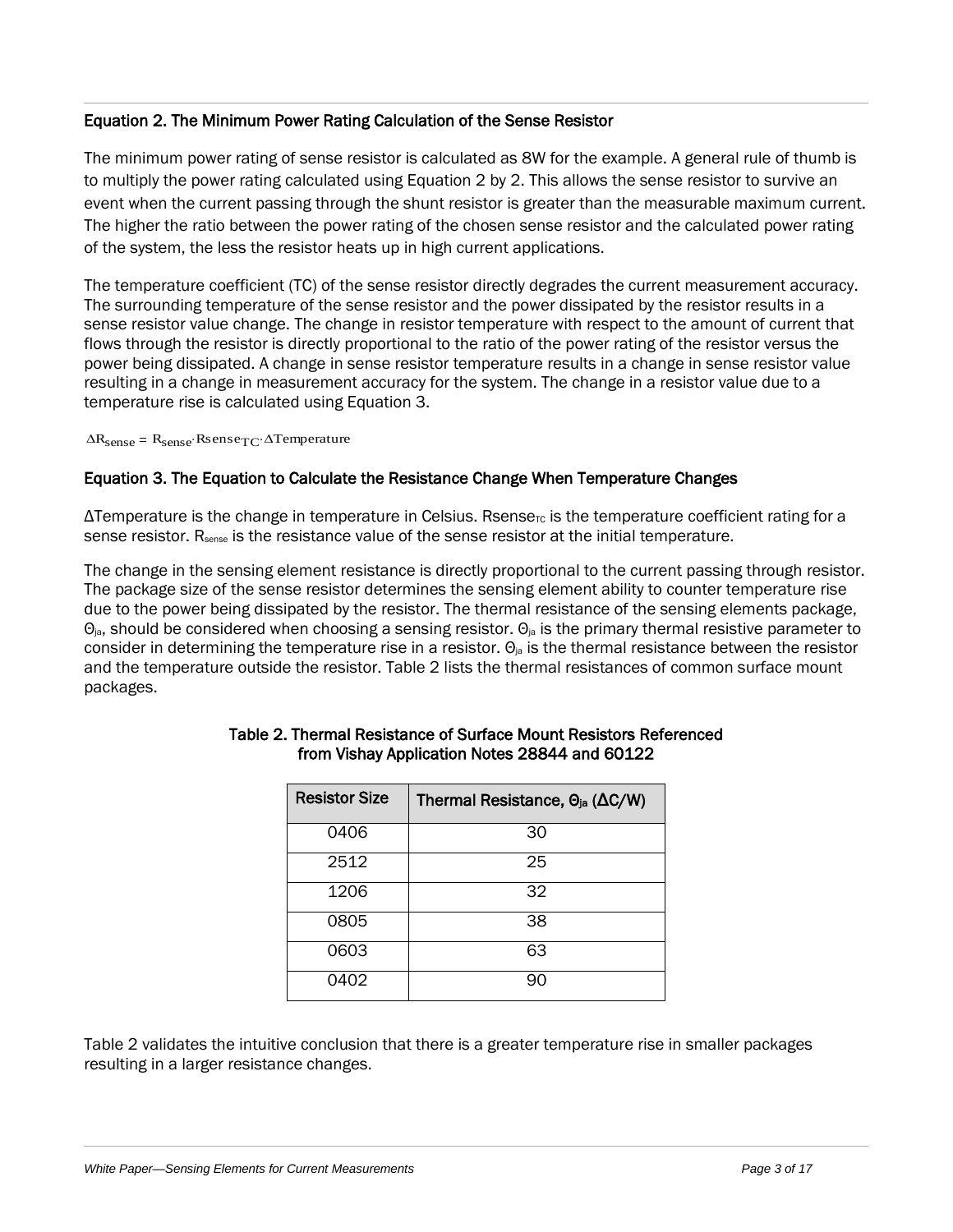#### Equation 2. The Minimum Power Rating Calculation of the Sense Resistor

The minimum power rating of sense resistor is calculated as 8W for the example. A general rule of thumb is to multiply the power rating calculated using [Equation 2](#page-1-2) by 2. This allows the sense resistor to survive an event when the current passing through the shunt resistor is greater than the measurable maximum current. The higher the ratio between the power rating of the chosen sense resistor and the calculated power rating of the system, the less the resistor heats up in high current applications.

The temperature coefficient (TC) of the sense resistor directly degrades the current measurement accuracy. The surrounding temperature of the sense resistor and the power dissipated by the resistor results in a sense resistor value change. The change in resistor temperature with respect to the amount of current that flows through the resistor is directly proportional to the ratio of the power rating of the resistor versus the power being dissipated. A change in sense resistor temperature results in a change in sense resistor value resulting in a change in measurement accuracy for the system. The change in a resistor value due to a temperature rise is calculated using [Equation 3.](#page-2-0)

 $\Delta R_{\text{sense}} = R_{\text{sense}} \cdot \text{Rsense}_{\text{T}C} \cdot \Delta \text{Temperature}$ 

#### <span id="page-2-0"></span>Equation 3. The Equation to Calculate the Resistance Change When Temperature Changes

 $\Delta$ Temperature is the change in temperature in Celsius. Rsense<sub>rc</sub> is the temperature coefficient rating for a sense resistor. R<sub>sense</sub> is the resistance value of the sense resistor at the initial temperature.

The change in the sensing element resistance is directly proportional to the current passing through resistor. The package size of the sense resistor determines the sensing element ability to counter temperature rise due to the power being dissipated by the resistor. The thermal resistance of the sensing elements package,  $\Theta_{\rm ia}$ , should be considered when choosing a sensing resistor.  $\Theta_{\rm ia}$  is the primary thermal resistive parameter to consider in determining the temperature rise in a resistor.  $\Theta_{\text{ia}}$  is the thermal resistance between the resistor and the temperature outside the resistor. [Table 2](#page-2-1) lists the thermal resistances of common surface mount packages.

| <b>Resistor Size</b> | Thermal Resistance, $\Theta_{ja}$ ( $\Delta C/W$ ) |  |
|----------------------|----------------------------------------------------|--|
| 0406                 | 30                                                 |  |
| 2512                 | 25                                                 |  |
| 1206                 | 32                                                 |  |
| 0805                 | 38                                                 |  |
| 0603                 | 63                                                 |  |
| 0402                 | 90                                                 |  |

#### <span id="page-2-1"></span>Table 2. Thermal Resistance of Surface Mount Resistors Referenced from Vishay Application Notes 28844 and 60122

Table 2 validates the intuitive conclusion that there is a greater temperature rise in smaller packages resulting in a larger resistance changes.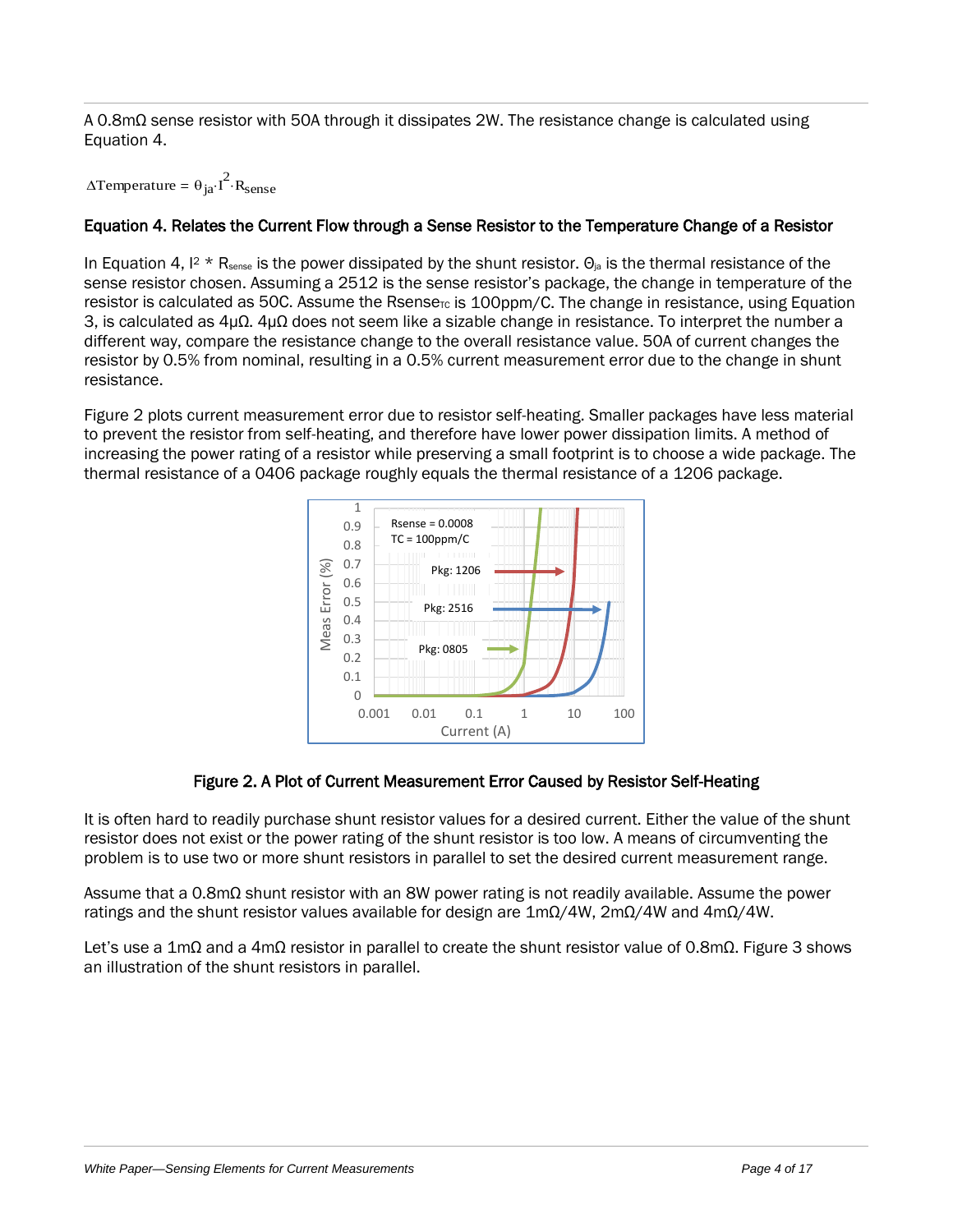A 0.8mΩ sense resistor with 50A through it dissipates 2W. The resistance change is calculated using [Equation 4.](#page-3-0)

 $\triangle$ Temperature =  $\theta_{ja}$ · $I^2$ ·R<sub>sense</sub>

# <span id="page-3-0"></span>Equation 4. Relates the Current Flow through a Sense Resistor to the Temperature Change of a Resistor

In [Equation 4,](#page-3-0)  $12 \times R_{\text{sense}}$  is the power dissipated by the shunt resistor.  $\Theta_{\text{ia}}$  is the thermal resistance of the sense resistor chosen. Assuming a 2512 is the sense resistor's package, the change in temperature of the resistor is calculated as 50C. Assume the Rsense<sub>rc</sub> is 100ppm/C. The change in resistance, using Equation [3,](#page-2-0) is calculated as 4µΩ. 4µΩ does not seem like a sizable change in resistance. To interpret the number a different way, compare the resistance change to the overall resistance value. 50A of current changes the resistor by 0.5% from nominal, resulting in a 0.5% current measurement error due to the change in shunt resistance.

[Figure 2](#page-3-1) plots current measurement error due to resistor self-heating. Smaller packages have less material to prevent the resistor from self-heating, and therefore have lower power dissipation limits. A method of increasing the power rating of a resistor while preserving a small footprint is to choose a wide package. The thermal resistance of a 0406 package roughly equals the thermal resistance of a 1206 package.



#### Figure 2. A Plot of Current Measurement Error Caused by Resistor Self-Heating

<span id="page-3-1"></span>It is often hard to readily purchase shunt resistor values for a desired current. Either the value of the shunt resistor does not exist or the power rating of the shunt resistor is too low. A means of circumventing the problem is to use two or more shunt resistors in parallel to set the desired current measurement range.

Assume that a 0.8mΩ shunt resistor with an 8W power rating is not readily available. Assume the power ratings and the shunt resistor values available for design are  $1 \text{m}\Omega/4W$ ,  $2 \text{m}\Omega/4W$  and  $4 \text{m}\Omega/4W$ .

Let's use a 1mΩ and a 4mΩ resistor in parallel to create the shunt resistor value of 0.8mΩ. [Figure 3](#page-4-0) shows an illustration of the shunt resistors in parallel.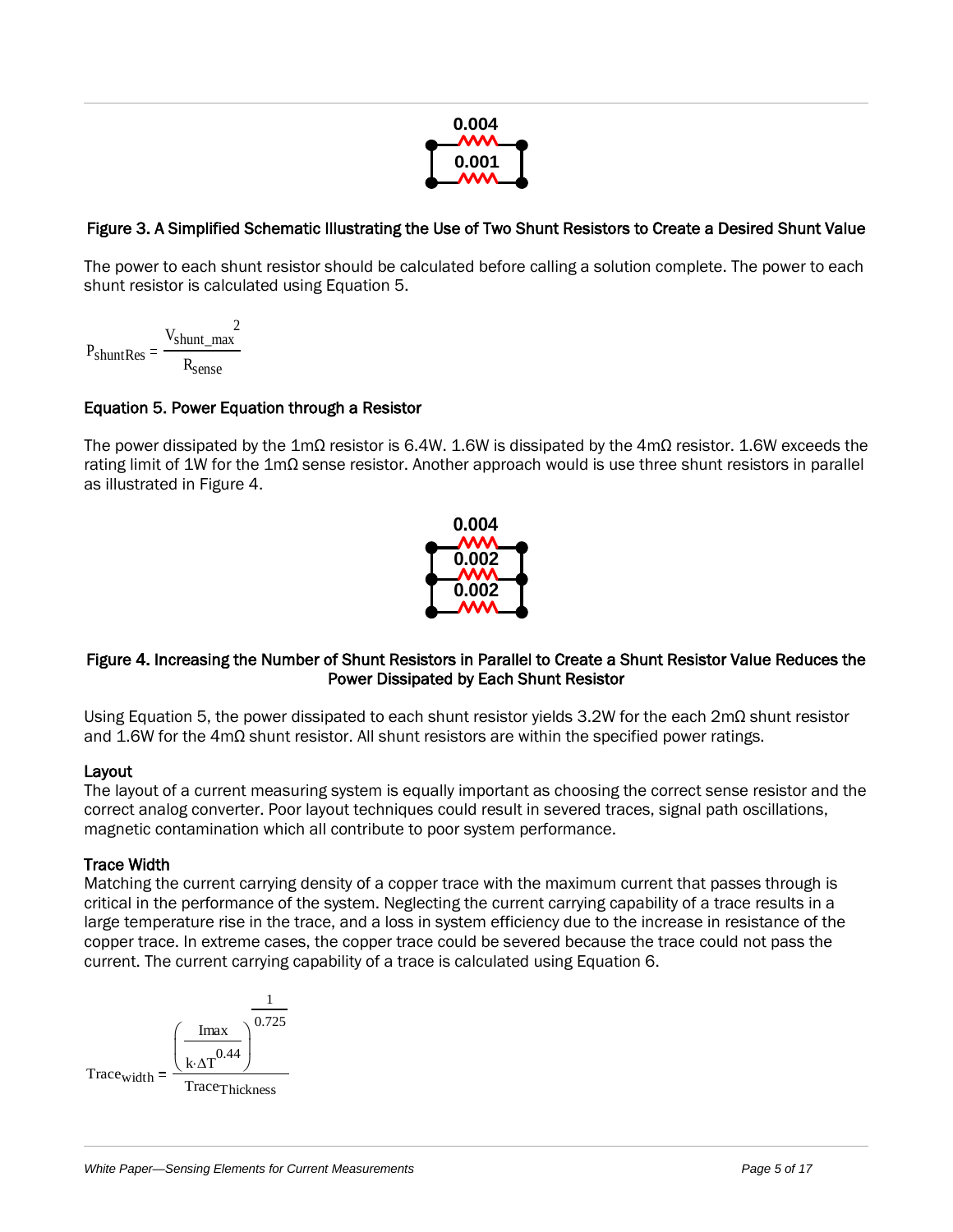

# <span id="page-4-0"></span>Figure 3. A Simplified Schematic Illustrating the Use of Two Shunt Resistors to Create a Desired Shunt Value

The power to each shunt resistor should be calculated before calling a solution complete. The power to each shunt resistor is calculated using [Equation 5.](#page-4-1)

$$
P_{shuntRes} = \frac{V_{shunt\_max}^{2}}{R_{sense}}
$$

#### <span id="page-4-1"></span>Equation 5. Power Equation through a Resistor

The power dissipated by the 1mΩ resistor is 6.4W. 1.6W is dissipated by the 4mΩ resistor. 1.6W exceeds the rating limit of 1W for the 1mΩ sense resistor. Another approach would is use three shunt resistors in parallel as illustrated in [Figure 4.](#page-4-2)



#### <span id="page-4-2"></span>Figure 4. Increasing the Number of Shunt Resistors in Parallel to Create a Shunt Resistor Value Reduces the Power Dissipated by Each Shunt Resistor

Using [Equation 5](#page-4-1), the power dissipated to each shunt resistor yields 3.2W for the each 2mΩ shunt resistor and 1.6W for the 4mΩ shunt resistor. All shunt resistors are within the specified power ratings.

#### Layout

The layout of a current measuring system is equally important as choosing the correct sense resistor and the correct analog converter. Poor layout techniques could result in severed traces, signal path oscillations, magnetic contamination which all contribute to poor system performance.

#### Trace Width

Matching the current carrying density of a copper trace with the maximum current that passes through is critical in the performance of the system. Neglecting the current carrying capability of a trace results in a large temperature rise in the trace, and a loss in system efficiency due to the increase in resistance of the copper trace. In extreme cases, the copper trace could be severed because the trace could not pass the current. The current carrying capability of a trace is calculated using [Equation 6.](#page-5-0)

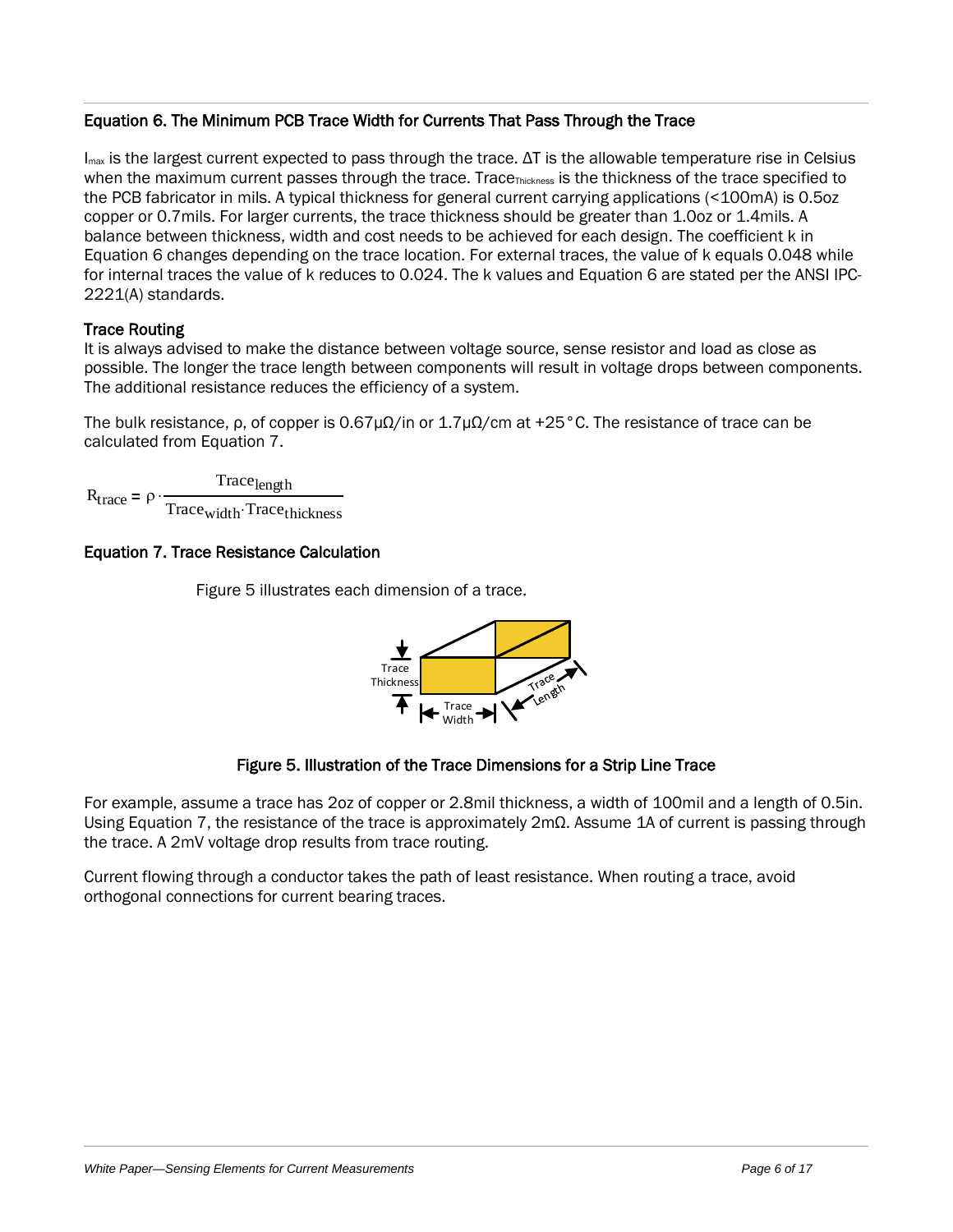#### <span id="page-5-0"></span>Equation 6. The Minimum PCB Trace Width for Currents That Pass Through the Trace

 $I<sub>max</sub>$  is the largest current expected to pass through the trace. ΔT is the allowable temperature rise in Celsius when the maximum current passes through the trace. Trace<sub>Thickness</sub> is the thickness of the trace specified to the PCB fabricator in mils. A typical thickness for general current carrying applications (<100mA) is 0.5oz copper or 0.7mils. For larger currents, the trace thickness should be greater than 1.0oz or 1.4mils. A balance between thickness, width and cost needs to be achieved for each design. The coefficient k in [Equation 6](#page-5-0) changes depending on the trace location. For external traces, the value of k equals 0.048 while for internal traces the value of k reduces to 0.024. The k values and [Equation 6](#page-5-0) are stated per the ANSI IPC-2221(A) standards.

# Trace Routing

It is always advised to make the distance between voltage source, sense resistor and load as close as possible. The longer the trace length between components will result in voltage drops between components. The additional resistance reduces the efficiency of a system.

The bulk resistance, ρ, of copper is 0.67μ $Ω$ /in or 1.7μ $Ω$ /cm at +25 °C. The resistance of trace can be calculated from [Equation 7.](#page-5-1)

 $R_{\text{trace}} = \rho$ Trace<sub>length</sub> Trace<sub>width</sub> Trace<sub>thickness</sub>

# <span id="page-5-1"></span>Equation 7. Trace Resistance Calculation



#### [Figure 5](#page-5-2) illustrates each dimension of a trace.

#### Figure 5. Illustration of the Trace Dimensions for a Strip Line Trace

<span id="page-5-2"></span>For example, assume a trace has 2oz of copper or 2.8mil thickness, a width of 100mil and a length of 0.5in. Using [Equation 7](#page-5-1), the resistance of the trace is approximately 2mΩ. Assume 1A of current is passing through the trace. A 2mV voltage drop results from trace routing.

Current flowing through a conductor takes the path of least resistance. When routing a trace, avoid orthogonal connections for current bearing traces.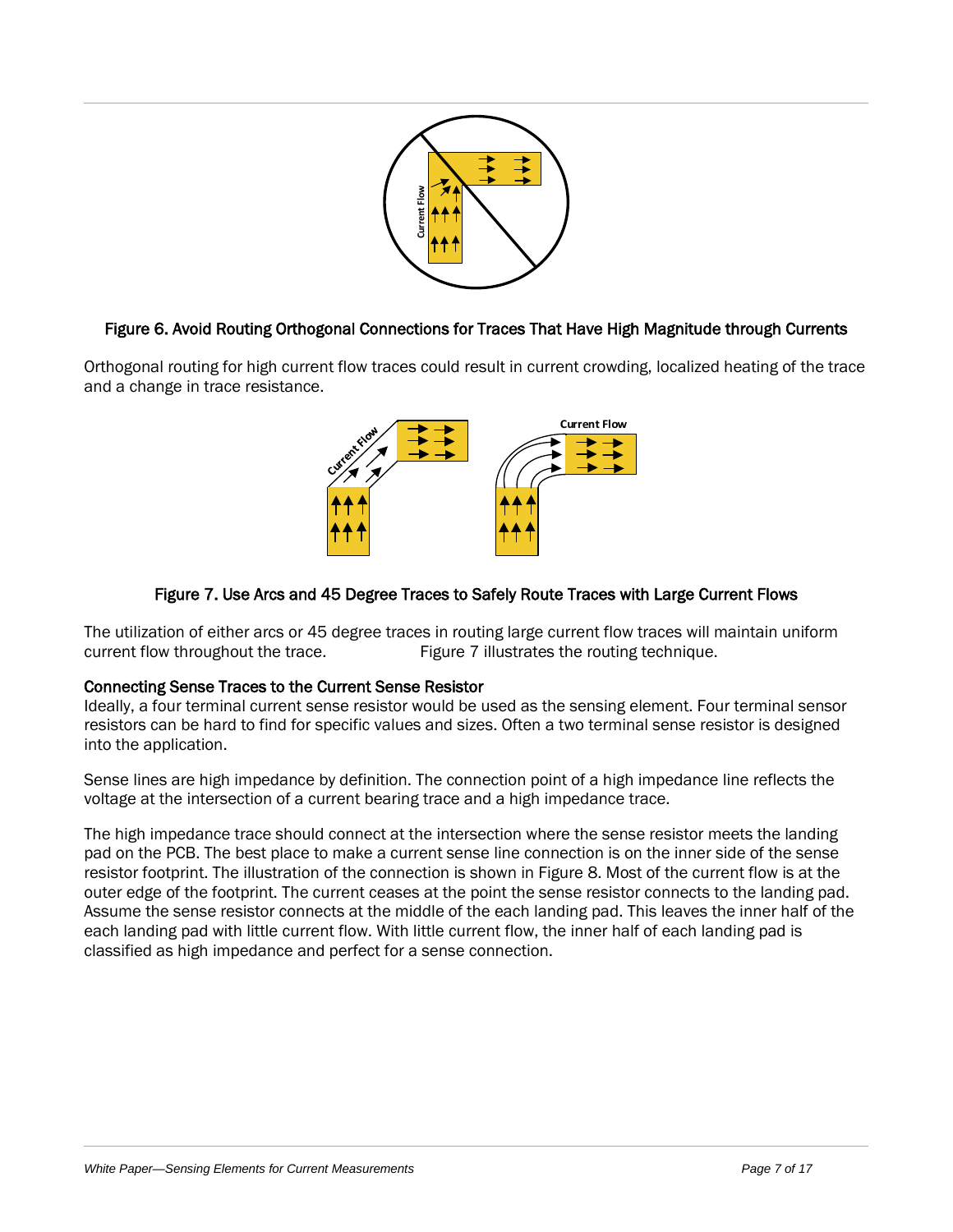

# Figure 6. Avoid Routing Orthogonal Connections for Traces That Have High Magnitude through Currents

Orthogonal routing for high current flow traces could result in current crowding, localized heating of the trace and a change in trace resistance.



# Figure 7. Use Arcs and 45 Degree Traces to Safely Route Traces with Large Current Flows

<span id="page-6-0"></span>The utilization of either arcs or 45 degree traces in routing large current flow traces will maintain uniform current flow throughout the trace. [Figure 7](#page-6-0) illustrates the routing technique.

#### Connecting Sense Traces to the Current Sense Resistor

Ideally, a four terminal current sense resistor would be used as the sensing element. Four terminal sensor resistors can be hard to find for specific values and sizes. Often a two terminal sense resistor is designed into the application.

Sense lines are high impedance by definition. The connection point of a high impedance line reflects the voltage at the intersection of a current bearing trace and a high impedance trace.

**Payer 6.** Avoid Routing Orthogonal Connections for Traces That Here High Magnitude through Current and the Paper Line of the Current Current Current Current Current Current Current Current Current Current Current Flow<br>
Th The high impedance trace should connect at the intersection where the sense resistor meets the landing pad on the PCB. The best place to make a current sense line connection is on the inner side of the sense resistor footprint. The illustration of the connection is shown in [Figure 8.](#page-7-0) Most of the current flow is at the outer edge of the footprint. The current ceases at the point the sense resistor connects to the landing pad. Assume the sense resistor connects at the middle of the each landing pad. This leaves the inner half of the each landing pad with little current flow. With little current flow, the inner half of each landing pad is classified as high impedance and perfect for a sense connection.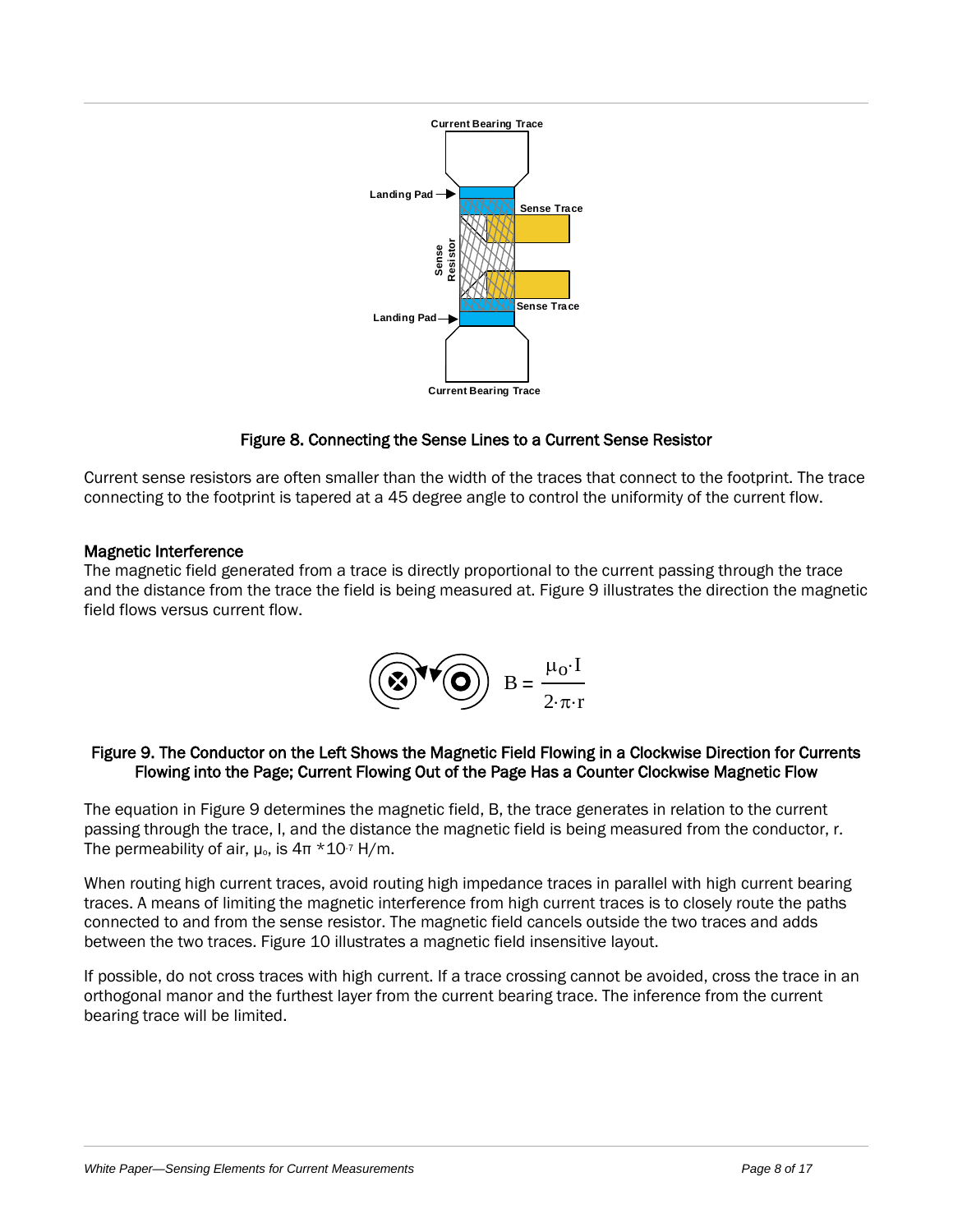

# Figure 8. Connecting the Sense Lines to a Current Sense Resistor

<span id="page-7-0"></span>Current sense resistors are often smaller than the width of the traces that connect to the footprint. The trace connecting to the footprint is tapered at a 45 degree angle to control the uniformity of the current flow.

#### Magnetic Interference

The magnetic field generated from a trace is directly proportional to the current passing through the trace and the distance from the trace the field is being measured at[. Figure 9](#page-7-1) illustrates the direction the magnetic field flows versus current flow.

$$
\left(\bigodot \mathbf{V} \bigodot\right) B = \frac{\mu_0 \cdot I}{2 \cdot \pi \cdot r}
$$

#### <span id="page-7-1"></span>Figure 9. The Conductor on the Left Shows the Magnetic Field Flowing in a Clockwise Direction for Currents Flowing into the Page; Current Flowing Out of the Page Has a Counter Clockwise Magnetic Flow

The equation i[n Figure 9](#page-7-1) determines the magnetic field, B, the trace generates in relation to the current passing through the trace, I, and the distance the magnetic field is being measured from the conductor, r. The permeability of air,  $\mu_{0}$ , is  $4\pi * 10^{-7}$  H/m.

**Example 19 Convertise and Current Measurements for Current Measurements for Current Measurements and AS diagnosis and AS diagnosis and Current Measurements for Current Tool Current Measurements for Current Measurements** When routing high current traces, avoid routing high impedance traces in parallel with high current bearing traces. A means of limiting the magnetic interference from high current traces is to closely route the paths connected to and from the sense resistor. The magnetic field cancels outside the two traces and adds between the two traces[. Figure 10](#page-8-0) illustrates a magnetic field insensitive layout.

If possible, do not cross traces with high current. If a trace crossing cannot be avoided, cross the trace in an orthogonal manor and the furthest layer from the current bearing trace. The inference from the current bearing trace will be limited.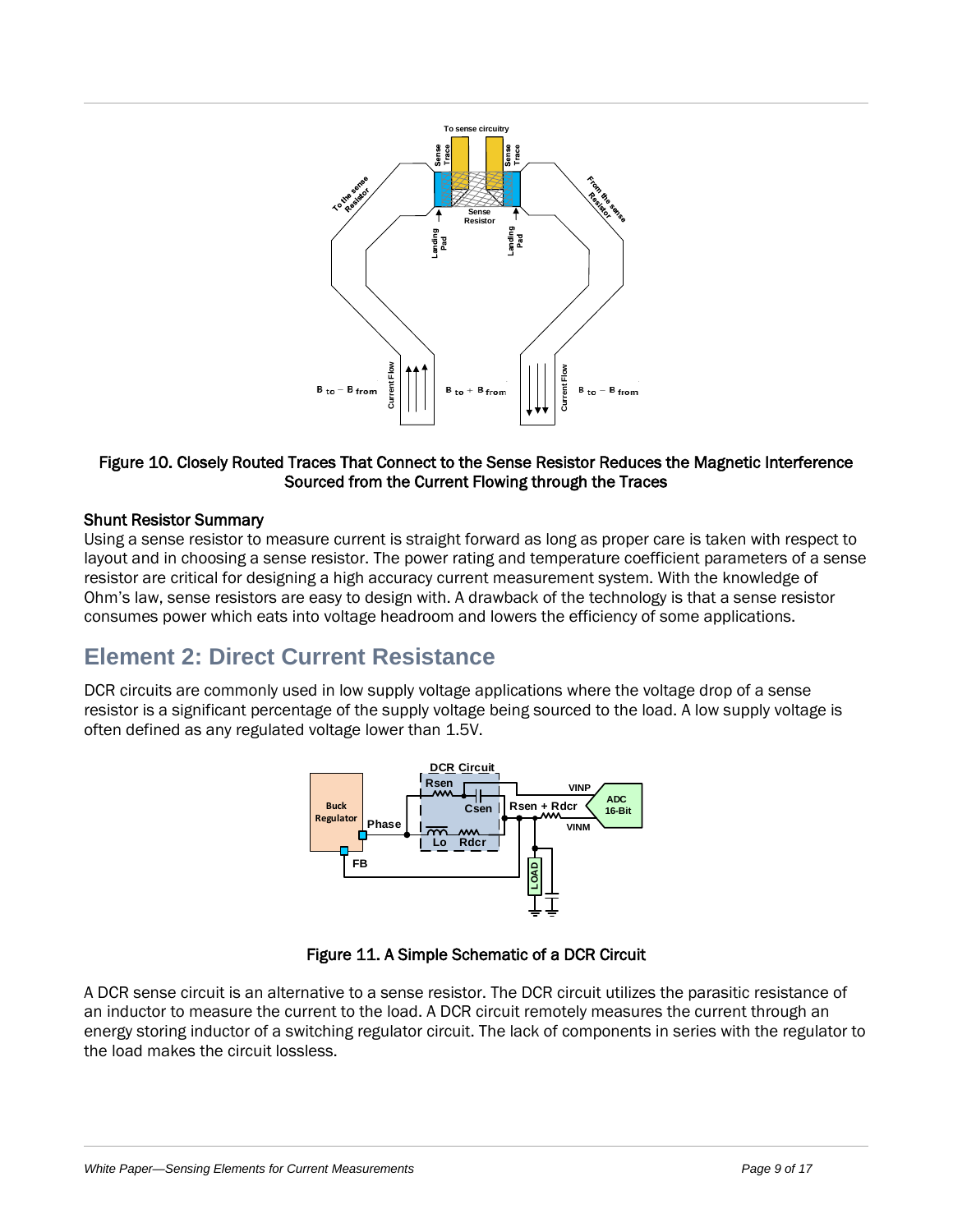

#### <span id="page-8-0"></span>Figure 10. Closely Routed Traces That Connect to the Sense Resistor Reduces the Magnetic Interference Sourced from the Current Flowing through the Traces

#### Shunt Resistor Summary

Using a sense resistor to measure current is straight forward as long as proper care is taken with respect to layout and in choosing a sense resistor. The power rating and temperature coefficient parameters of a sense resistor are critical for designing a high accuracy current measurement system. With the knowledge of Ohm's law, sense resistors are easy to design with. A drawback of the technology is that a sense resistor consumes power which eats into voltage headroom and lowers the efficiency of some applications.

# **Element 2: Direct Current Resistance**

DCR circuits are commonly used in low supply voltage applications where the voltage drop of a sense resistor is a significant percentage of the supply voltage being sourced to the load. A low supply voltage is often defined as any regulated voltage lower than 1.5V.





<span id="page-8-1"></span>A DCR sense circuit is an alternative to a sense resistor. The DCR circuit utilizes the parasitic resistance of an inductor to measure the current to the load. A DCR circuit remotely measures the current through an energy storing inductor of a switching regulator circuit. The lack of components in series with the regulator to the load makes the circuit lossless.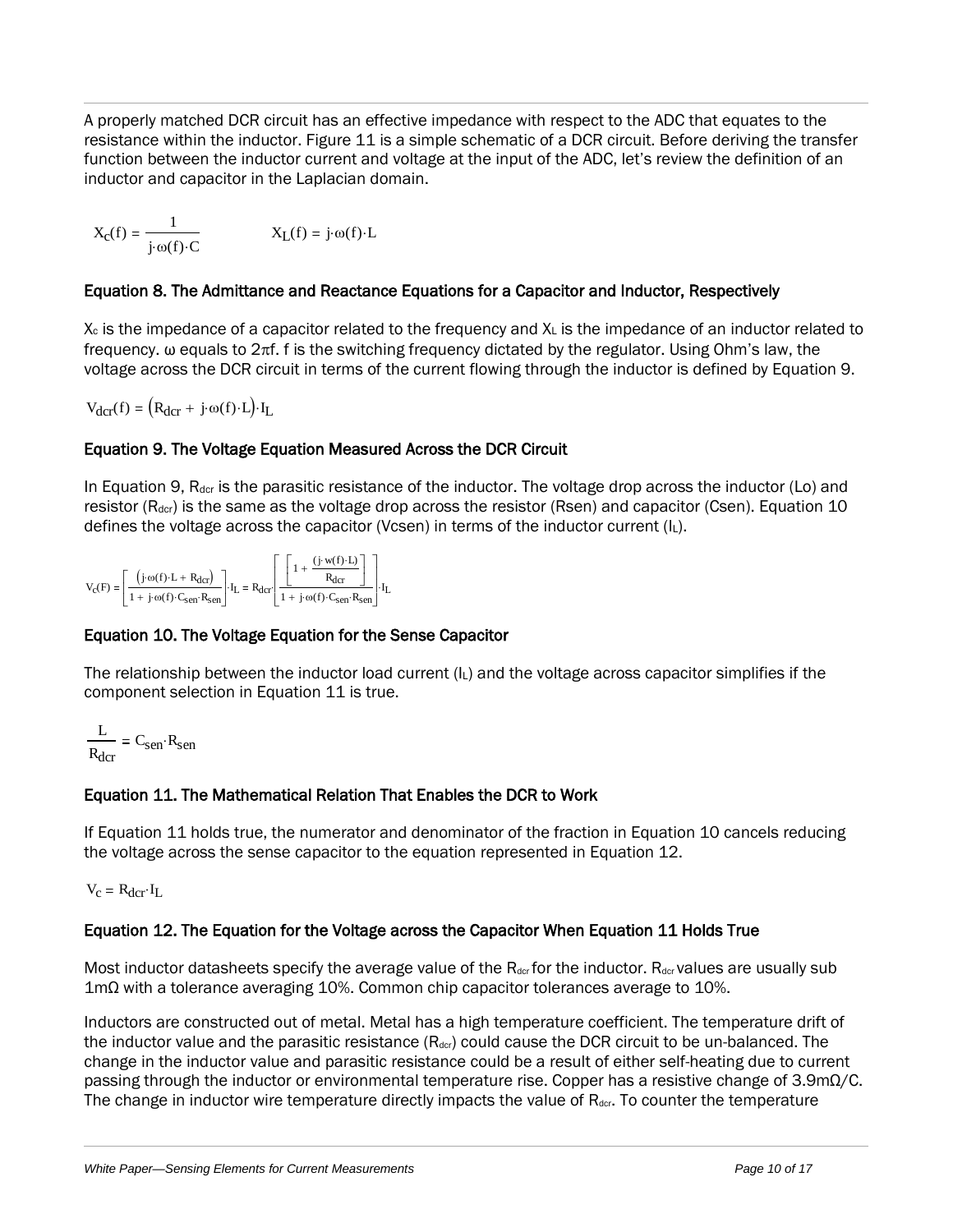A properly matched DCR circuit has an effective impedance with respect to the ADC that equates to the resistance within the inductor[. Figure 11](#page-8-1) is a simple schematic of a DCR circuit. Before deriving the transfer function between the inductor current and voltage at the input of the ADC, let's review the definition of an inductor and capacitor in the Laplacian domain.

$$
X_{C}(f) = \frac{1}{j \cdot \omega(f) \cdot C}
$$
 
$$
X_{L}(f) = j \cdot \omega(f) \cdot L
$$

# Equation 8. The Admittance and Reactance Equations for a Capacitor and Inductor, Respectively

 $X_c$  is the impedance of a capacitor related to the frequency and  $X<sub>L</sub>$  is the impedance of an inductor related to frequency. ω equals to 2πf. f is the switching frequency dictated by the regulator. Using Ohm's law, the voltage across the DCR circuit in terms of the current flowing through the inductor is defined by [Equation 9.](#page-9-0)

 $V_{\text{der}}(f) = (R_{\text{der}} + j \cdot \omega(f) \cdot L) \cdot I_L$ 

# <span id="page-9-0"></span>Equation 9. The Voltage Equation Measured Across the DCR Circuit

In [Equation 9,](#page-9-0)  $R_{\text{dcr}}$  is the parasitic resistance of the inductor. The voltage drop across the inductor (Lo) and resistor (R<sub>dcr</sub>) is the same as the voltage drop across the resistor (Rsen) and capacitor (Csen)[. Equation 10](#page-9-1) defines the voltage across the capacitor (Vcsen) in terms of the inductor current (IL).



#### <span id="page-9-1"></span>Equation 10. The Voltage Equation for the Sense Capacitor

The relationship between the inductor load current (IL) and the voltage across capacitor simplifies if the component selection in [Equation 11](#page-9-2) is true.

$$
\frac{L}{R_{\text{dcr}}} = C_{\text{sen}} \cdot R_{\text{sen}}
$$

# <span id="page-9-2"></span>Equation 11. The Mathematical Relation That Enables the DCR to Work

If [Equation 11](#page-9-2) holds true, the numerator and denominator of the fraction in [Equation 10](#page-9-1) cancels reducing the voltage across the sense capacitor to the equation represented in [Equation 12.](#page-9-3)

 $V_c = R_{\text{dcr}} \cdot I_L$ 

# <span id="page-9-3"></span>Equation 12. The Equation for the Voltage across the Capacitor When [Equation 11](#page-9-2) Holds True

Most inductor datasheets specify the average value of the  $R_{\text{der}}$  for the inductor.  $R_{\text{der}}$  values are usually sub 1mΩ with a tolerance averaging 10%. Common chip capacitor tolerances average to 10%.

Inductors are constructed out of metal. Metal has a high temperature coefficient. The temperature drift of the inductor value and the parasitic resistance  $(R_{\text{dot}})$  could cause the DCR circuit to be un-balanced. The change in the inductor value and parasitic resistance could be a result of either self-heating due to current passing through the inductor or environmental temperature rise. Copper has a resistive change of 3.9mΩ/C. The change in inductor wire temperature directly impacts the value of  $R_{\text{dcr}}$ . To counter the temperature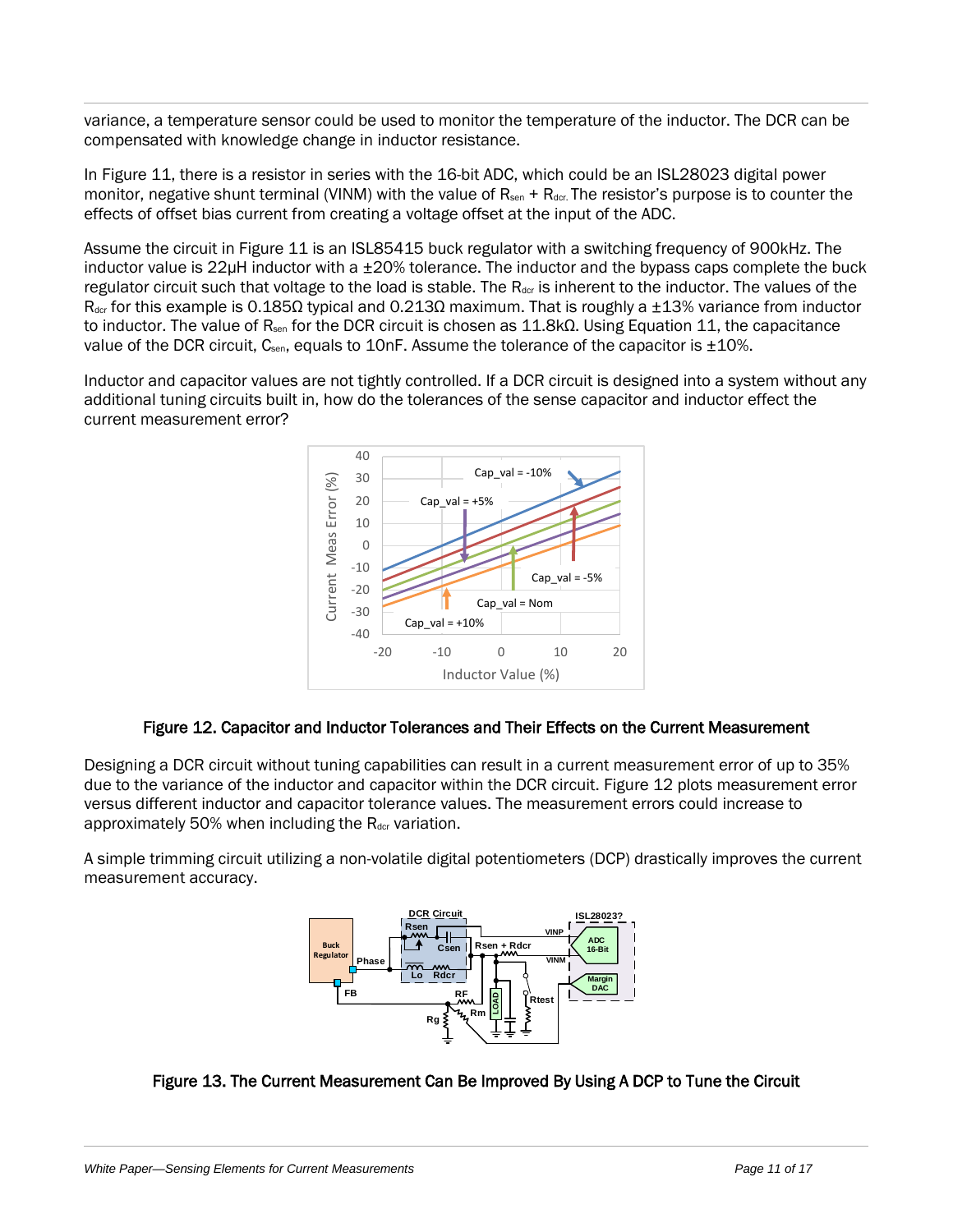variance, a temperature sensor could be used to monitor the temperature of the inductor. The DCR can be compensated with knowledge change in inductor resistance.

In [Figure 11,](#page-8-1) there is a resistor in series with the 16-bit ADC, which could be an ISL28023 digital power monitor, negative shunt terminal (VINM) with the value of  $R_{sen} + R_{der}$ . The resistor's purpose is to counter the effects of offset bias current from creating a voltage offset at the input of the ADC.

Assume the circuit in [Figure 11](#page-8-1) is an ISL85415 buck regulator with a switching frequency of 900kHz. The inductor value is  $22\mu$ H inductor with a  $\pm 20\%$  tolerance. The inductor and the bypass caps complete the buck regulator circuit such that voltage to the load is stable. The R<sub>dcr</sub> is inherent to the inductor. The values of the  $R_{\text{der}}$  for this example is 0.185Ω typical and 0.213Ω maximum. That is roughly a ±13% variance from inductor to inductor. The value of R<sub>sen</sub> for the DCR circuit is chosen as 11.8kΩ. Using [Equation 11,](#page-9-2) the capacitance value of the DCR circuit,  $C_{\text{sen}}$ , equals to 10nF. Assume the tolerance of the capacitor is  $\pm 10\%$ .

Inductor and capacitor values are not tightly controlled. If a DCR circuit is designed into a system without any additional tuning circuits built in, how do the tolerances of the sense capacitor and inductor effect the current measurement error?



#### Figure 12. Capacitor and Inductor Tolerances and Their Effects on the Current Measurement

<span id="page-10-0"></span>Designing a DCR circuit without tuning capabilities can result in a current measurement error of up to 35% due to the variance of the inductor and capacitor within the DCR circuit. [Figure 12](#page-10-0) plots measurement error versus different inductor and capacitor tolerance values. The measurement errors could increase to approximately 50% when including the  $R_{\text{der}}$  variation.

A simple trimming circuit utilizing a non-volatile digital potentiometers (DCP) drastically improves the current measurement accuracy.



#### <span id="page-10-1"></span>Figure 13. The Current Measurement Can Be Improved By Using A DCP to Tune the Circuit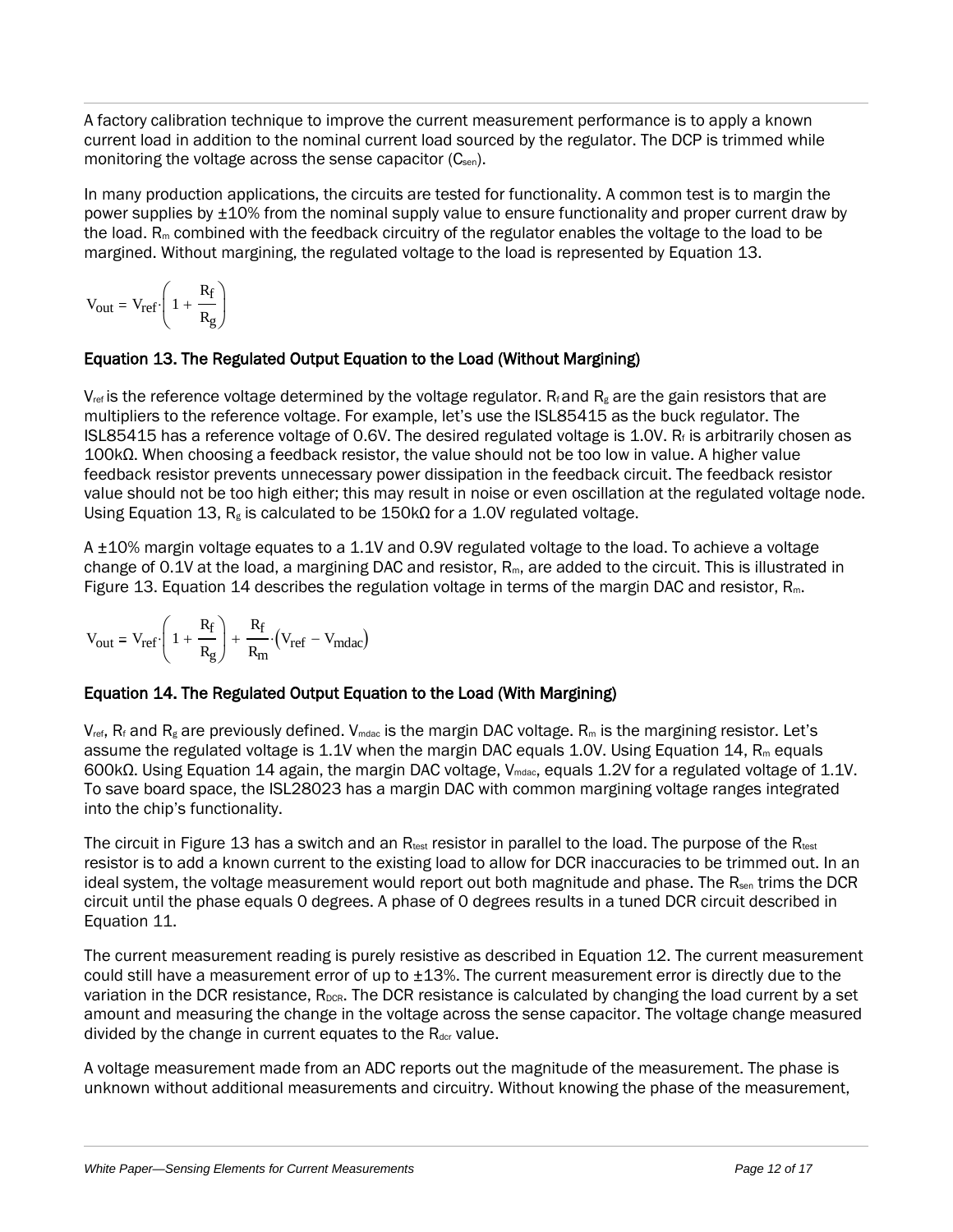A factory calibration technique to improve the current measurement performance is to apply a known current load in addition to the nominal current load sourced by the regulator. The DCP is trimmed while monitoring the voltage across the sense capacitor (C<sub>sen</sub>).

In many production applications, the circuits are tested for functionality. A common test is to margin the power supplies by  $\pm 10$ % from the nominal supply value to ensure functionality and proper current draw by the load.  $R_m$  combined with the feedback circuitry of the regulator enables the voltage to the load to be margined. Without margining, the regulated voltage to the load is represented by [Equation 13.](#page-11-0)

$$
V_{out} = V_{ref} \cdot \left(1 + \frac{R_f}{R_g}\right)
$$

# <span id="page-11-0"></span>Equation 13. The Regulated Output Equation to the Load (Without Margining)

 $V_{ref}$  is the reference voltage determined by the voltage regulator. R<sub>f</sub> and R<sub>g</sub> are the gain resistors that are multipliers to the reference voltage. For example, let's use the ISL85415 as the buck regulator. The ISL85415 has a reference voltage of 0.6V. The desired regulated voltage is 1.0V.  $R_f$  is arbitrarily chosen as 100kΩ. When choosing a feedback resistor, the value should not be too low in value. A higher value feedback resistor prevents unnecessary power dissipation in the feedback circuit. The feedback resistor value should not be too high either; this may result in noise or even oscillation at the regulated voltage node. Using [Equation 13,](#page-11-0)  $R_g$  is calculated to be 150k $\Omega$  for a 1.0V regulated voltage.

A ±10% margin voltage equates to a 1.1V and 0.9V regulated voltage to the load. To achieve a voltage change of 0.1V at the load, a margining DAC and resistor, R<sub>m</sub>, are added to the circuit. This is illustrated in [Figure 13.](#page-10-1) [Equation 14](#page-11-1) describes the regulation voltage in terms of the margin DAC and resistor, Rm.

$$
V_{out} = V_{ref} \cdot \left(1 + \frac{R_f}{R_g}\right) + \frac{R_f}{R_m} \cdot \left(V_{ref} - V_{mdac}\right)
$$

# <span id="page-11-1"></span>Equation 14. The Regulated Output Equation to the Load (With Margining)

 $V_{ref}$ , R<sub>f</sub> and R<sub>g</sub> are previously defined. V<sub>mdac</sub> is the margin DAC voltage. R<sub>m</sub> is the margining resistor. Let's assume the regulated voltage is 1.1V when the margin DAC equals 1.0V. Using [Equation 14,](#page-11-1)  $R_m$  equals 600kΩ. Using [Equation 14](#page-11-1) again, the margin DAC voltage, Vmdac, equals 1.2V for a regulated voltage of 1.1V. To save board space, the ISL28023 has a margin DAC with common margining voltage ranges integrated into the chip's functionality.

The circuit in [Figure 13](#page-10-1) has a switch and an  $R_{test}$  resistor in parallel to the load. The purpose of the  $R_{test}$ resistor is to add a known current to the existing load to allow for DCR inaccuracies to be trimmed out. In an ideal system, the voltage measurement would report out both magnitude and phase. The  $R<sub>sen</sub>$  trims the DCR circuit until the phase equals 0 degrees. A phase of 0 degrees results in a tuned DCR circuit described in [Equation 11.](#page-9-2)

The current measurement reading is purely resistive as described in [Equation 12.](#page-9-3) The current measurement could still have a measurement error of up to  $\pm 13$ %. The current measurement error is directly due to the variation in the DCR resistance, R<sub>DCR</sub>. The DCR resistance is calculated by changing the load current by a set amount and measuring the change in the voltage across the sense capacitor. The voltage change measured divided by the change in current equates to the  $R_{\text{der}}$  value.

A voltage measurement made from an ADC reports out the magnitude of the measurement. The phase is unknown without additional measurements and circuitry. Without knowing the phase of the measurement,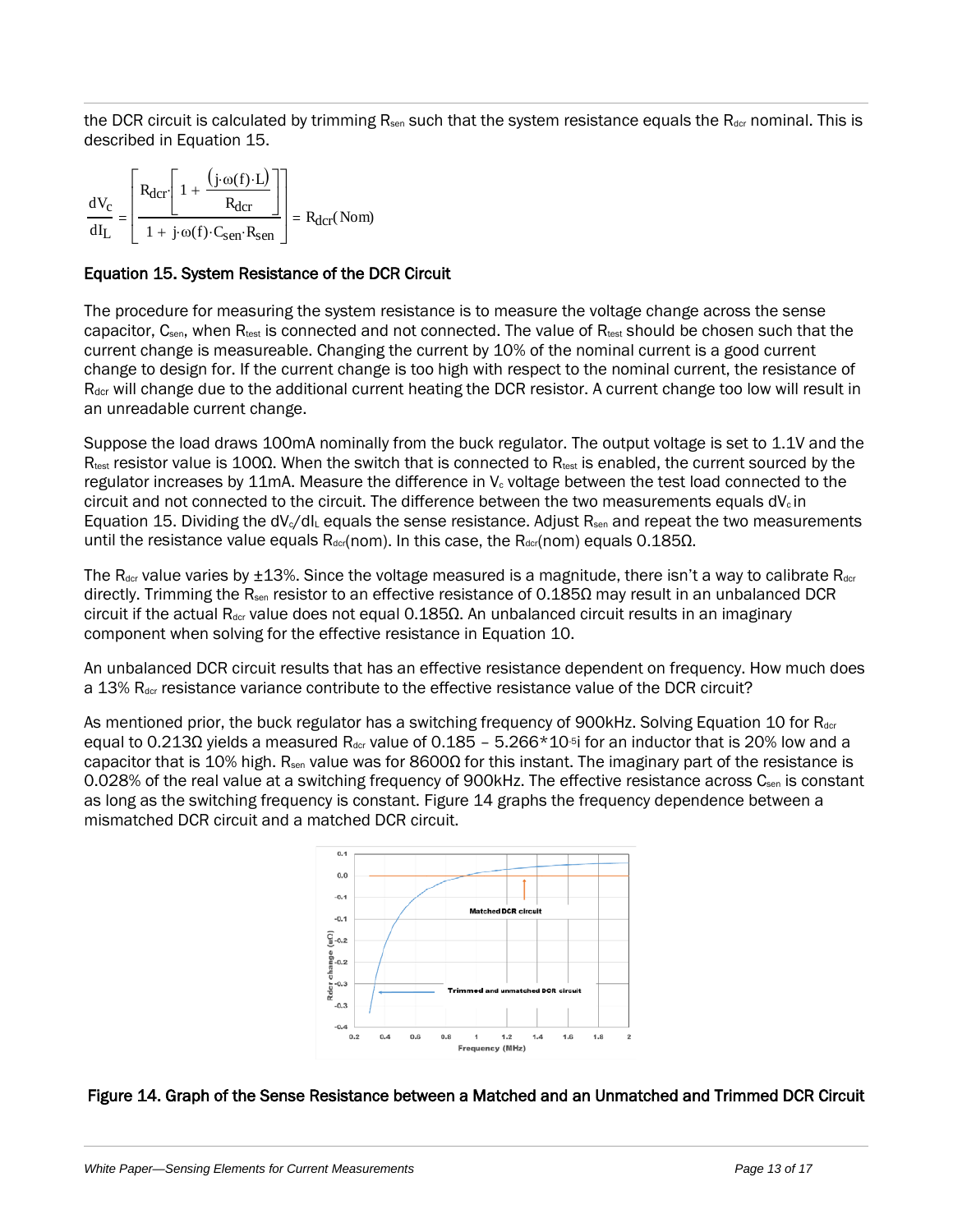the DCR circuit is calculated by trimming  $R_{sen}$  such that the system resistance equals the  $R_{der}$  nominal. This is described in [Equation 15.](#page-12-0)

| dV | $(j \cdot \omega(f) \cdot L)$                       |                         |
|----|-----------------------------------------------------|-------------------------|
|    | $1 + j \cdot \omega(f) \cdot C_{sen} \cdot R_{sen}$ | $= R_{\text{dcr}}(Nom)$ |

#### <span id="page-12-0"></span>Equation 15. System Resistance of the DCR Circuit

The procedure for measuring the system resistance is to measure the voltage change across the sense capacitor, C<sub>sen</sub>, when R<sub>test</sub> is connected and not connected. The value of R<sub>test</sub> should be chosen such that the current change is measureable. Changing the current by 10% of the nominal current is a good current change to design for. If the current change is too high with respect to the nominal current, the resistance of R<sub>dcr</sub> will change due to the additional current heating the DCR resistor. A current change too low will result in an unreadable current change.

Suppose the load draws 100mA nominally from the buck regulator. The output voltage is set to 1.1V and the Rtest resistor value is 100Ω. When the switch that is connected to Rtest is enabled, the current sourced by the regulator increases by 11mA. Measure the difference in  $V_c$  voltage between the test load connected to the circuit and not connected to the circuit. The difference between the two measurements equals  $dV_c$  in [Equation 15.](#page-12-0) Dividing the  $dV_c/dI_c$  equals the sense resistance. Adjust R<sub>sen</sub> and repeat the two measurements until the resistance value equals  $R_{\text{der}}(nom)$ . In this case, the  $R_{\text{der}}(nom)$  equals 0.185Ω.

The  $R_{\text{dcr}}$  value varies by  $\pm 13$ %. Since the voltage measured is a magnitude, there isn't a way to calibrate  $R_{\text{dcr}}$ directly. Trimming the R<sub>sen</sub> resistor to an effective resistance of 0.185 $\Omega$  may result in an unbalanced DCR circuit if the actual R<sub>dcr</sub> value does not equal 0.185 $\Omega$ . An unbalanced circuit results in an imaginary component when solving for the effective resistance in [Equation 10.](#page-9-1)

An unbalanced DCR circuit results that has an effective resistance dependent on frequency. How much does a 13% R<sub>dcr</sub> resistance variance contribute to the effective resistance value of the DCR circuit?

As mentioned prior, the buck regulator has a switching frequency of 900kHz. Solving [Equation 10](#page-9-1) for R<sub>dcr</sub> equal to 0.213Ω yields a measured R<sub>dcr</sub> value of 0.185 – 5.266\*10<sup>-5</sup> for an inductor that is 20% low and a capacitor that is 10% high. R<sub>sen</sub> value was for 8600 $\Omega$  for this instant. The imaginary part of the resistance is 0.028% of the real value at a switching frequency of 900kHz. The effective resistance across  $C_{sen}$  is constant as long as the switching frequency is constant. [Figure 14](#page-12-1) graphs the frequency dependence between a mismatched DCR circuit and a matched DCR circuit.



#### <span id="page-12-1"></span>Figure 14. Graph of the Sense Resistance between a Matched and an Unmatched and Trimmed DCR Circuit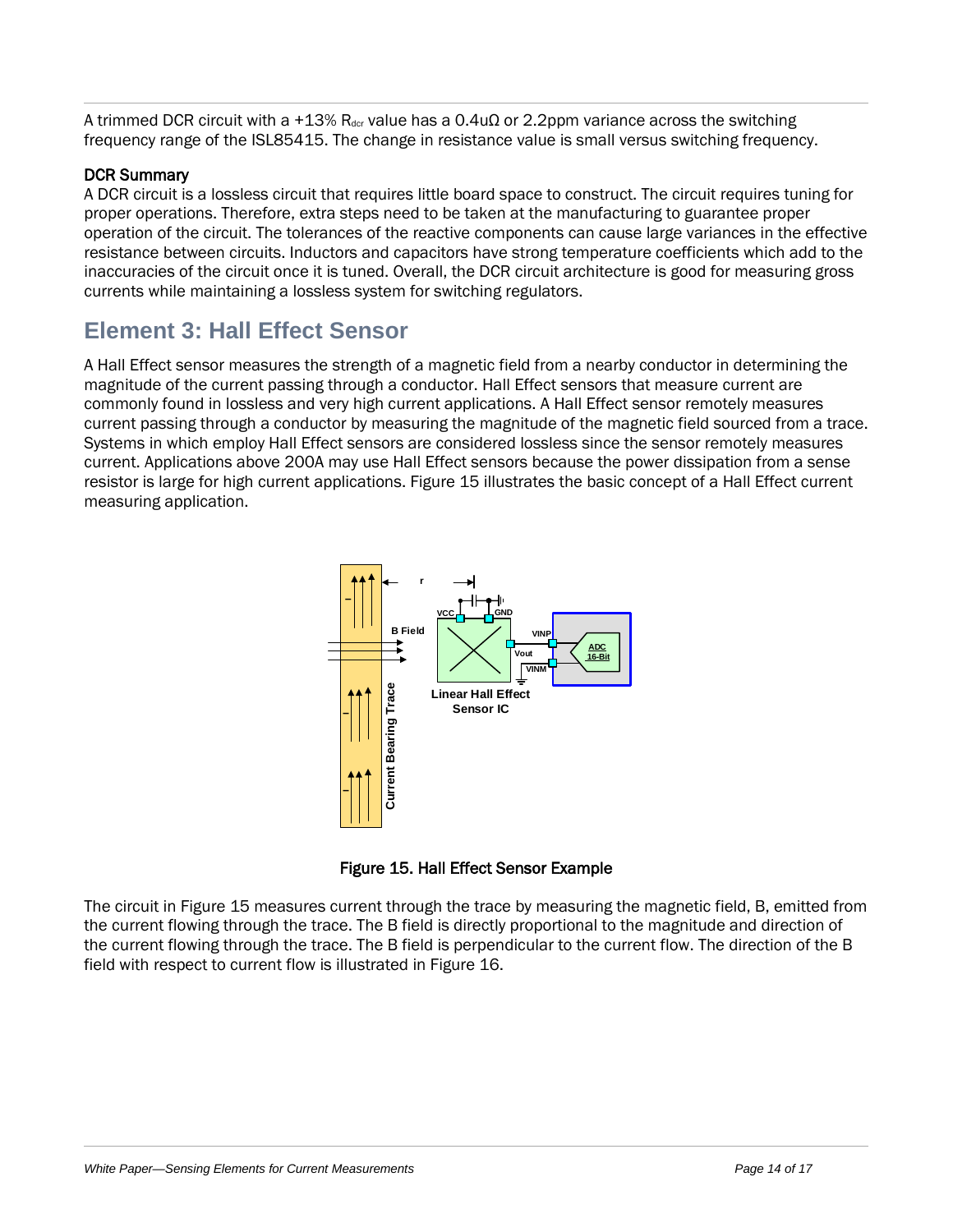A trimmed DCR circuit with a +13% R<sub>dcr</sub> value has a 0.4u $\Omega$  or 2.2ppm variance across the switching frequency range of the ISL85415. The change in resistance value is small versus switching frequency.

# DCR Summary

A DCR circuit is a lossless circuit that requires little board space to construct. The circuit requires tuning for proper operations. Therefore, extra steps need to be taken at the manufacturing to guarantee proper operation of the circuit. The tolerances of the reactive components can cause large variances in the effective resistance between circuits. Inductors and capacitors have strong temperature coefficients which add to the inaccuracies of the circuit once it is tuned. Overall, the DCR circuit architecture is good for measuring gross currents while maintaining a lossless system for switching regulators.

# **Element 3: Hall Effect Sensor**

A Hall Effect sensor measures the strength of a magnetic field from a nearby conductor in determining the magnitude of the current passing through a conductor. Hall Effect sensors that measure current are commonly found in lossless and very high current applications. A Hall Effect sensor remotely measures current passing through a conductor by measuring the magnitude of the magnetic field sourced from a trace. Systems in which employ Hall Effect sensors are considered lossless since the sensor remotely measures current. Applications above 200A may use Hall Effect sensors because the power dissipation from a sense resistor is large for high current applications. [Figure 15](#page-13-0) illustrates the basic concept of a Hall Effect current measuring application.





<span id="page-13-0"></span>The circuit in [Figure 15](#page-13-0) measures current through the trace by measuring the magnetic field, B, emitted from the current flowing through the trace. The B field is directly proportional to the magnitude and direction of the current flowing through the trace. The B field is perpendicular to the current flow. The direction of the B field with respect to current flow is illustrated in [Figure 16.](#page-14-0)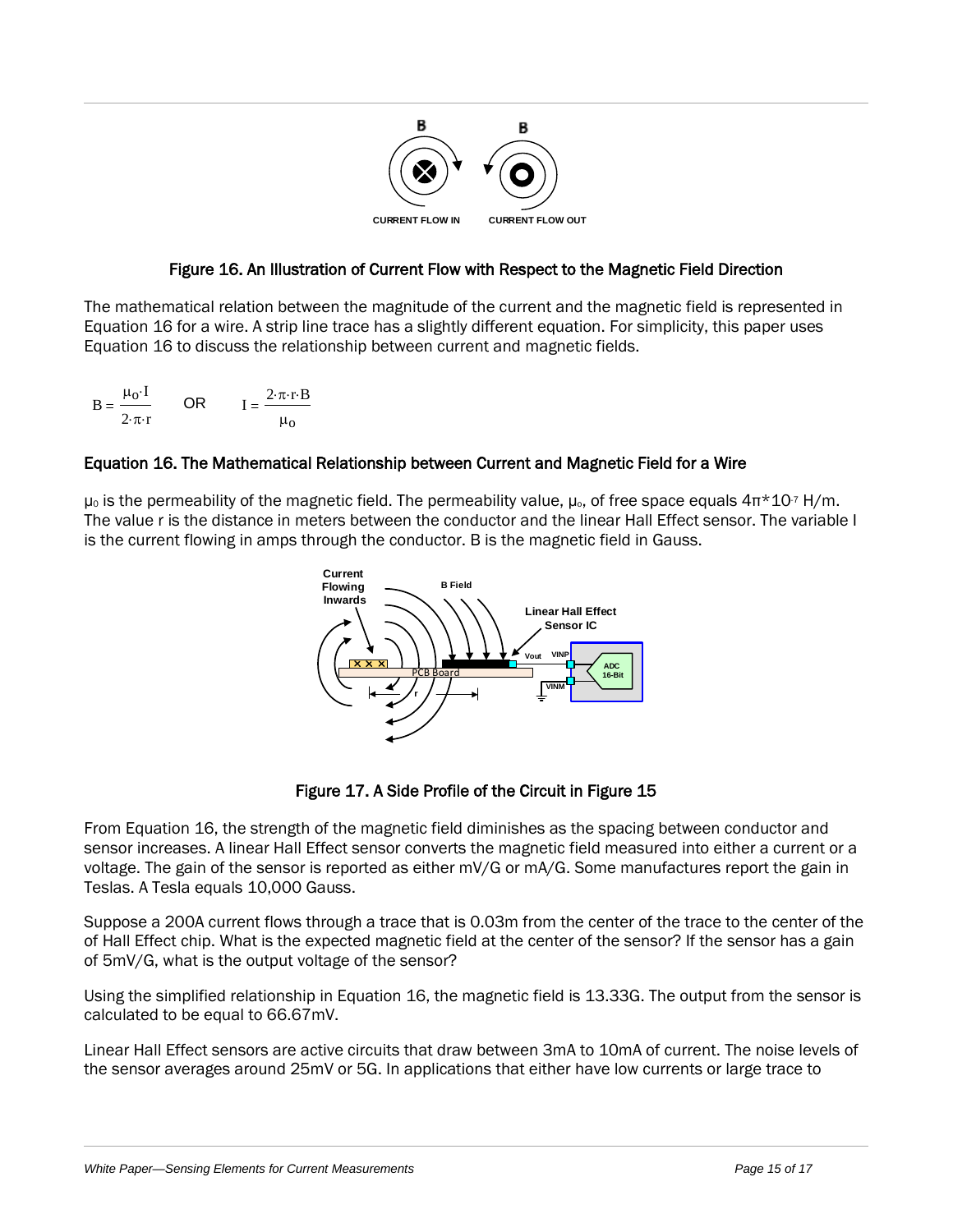

# Figure 16. An Illustration of Current Flow with Respect to the Magnetic Field Direction

<span id="page-14-0"></span>The mathematical relation between the magnitude of the current and the magnetic field is represented in [Equation 16](#page-14-1) for a wire. A strip line trace has a slightly different equation. For simplicity, this paper uses [Equation 16](#page-14-1) to discuss the relationship between current and magnetic fields.

$$
B = \frac{\mu_0 I}{2 \pi r} \qquad \text{OR} \qquad I = \frac{2 \pi r B}{\mu_0}
$$

# <span id="page-14-1"></span>Equation 16. The Mathematical Relationship between Current and Magnetic Field for a Wire

 $\mu_0$  is the permeability of the magnetic field. The permeability value,  $\mu_0$ , of free space equals  $4\pi \times 10^{7}$  H/m. The value r is the distance in meters between the conductor and the linear Hall Effect sensor. The variable I is the current flowing in amps through the conductor. B is the magnetic field in Gauss.



Figure 17. A Side Profile of the Circuit in [Figure 15](#page-13-0) 

From [Equation 16,](#page-14-1) the strength of the magnetic field diminishes as the spacing between conductor and sensor increases. A linear Hall Effect sensor converts the magnetic field measured into either a current or a voltage. The gain of the sensor is reported as either mV/G or mA/G. Some manufactures report the gain in Teslas. A Tesla equals 10,000 Gauss.

Suppose a 200A current flows through a trace that is 0.03m from the center of the trace to the center of the of Hall Effect chip. What is the expected magnetic field at the center of the sensor? If the sensor has a gain of 5mV/G, what is the output voltage of the sensor?

Using the simplified relationship i[n Equation 16,](#page-14-1) the magnetic field is 13.33G. The output from the sensor is calculated to be equal to 66.67mV.

Linear Hall Effect sensors are active circuits that draw between 3mA to 10mA of current. The noise levels of the sensor averages around 25mV or 5G. In applications that either have low currents or large trace to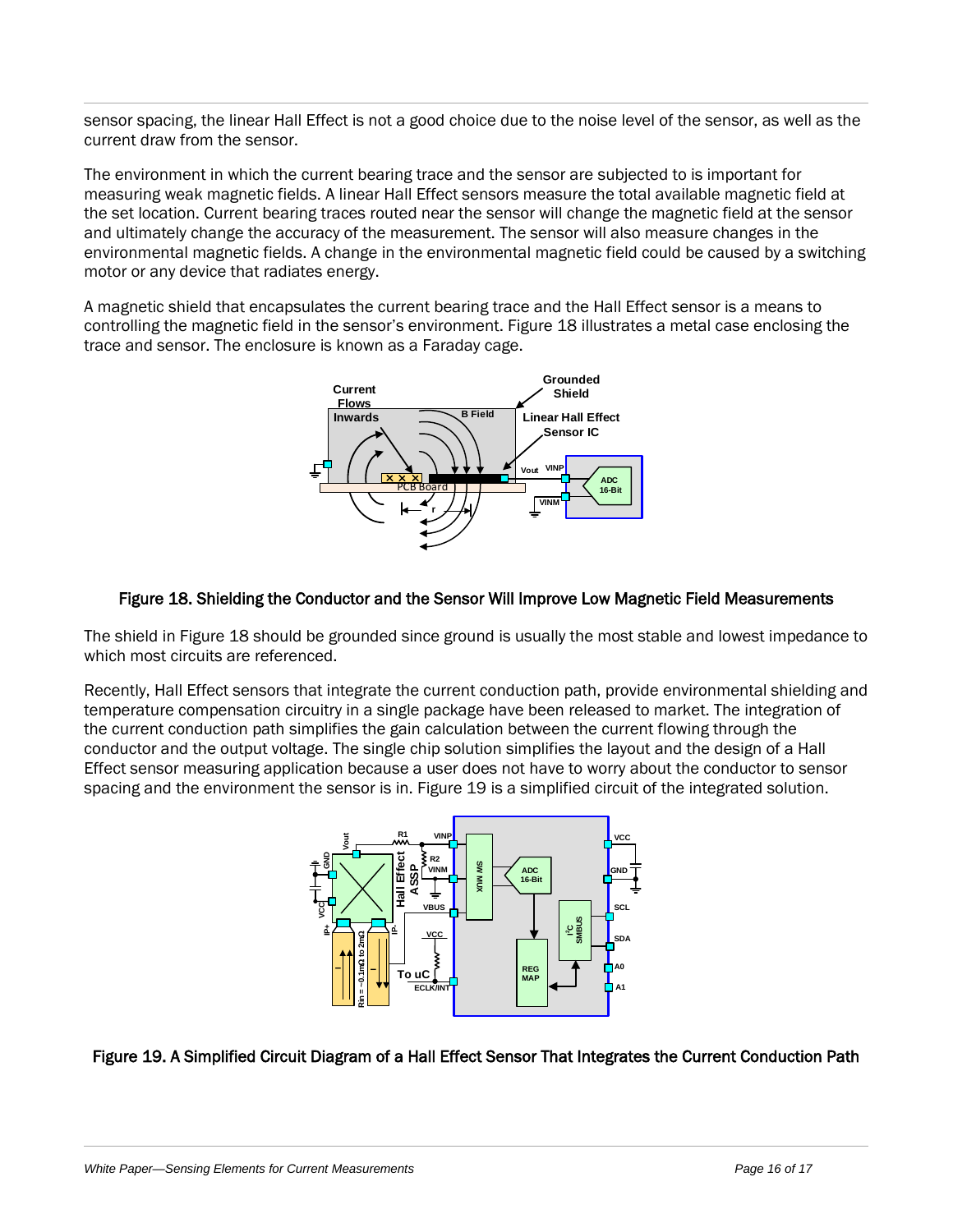sensor spacing, the linear Hall Effect is not a good choice due to the noise level of the sensor, as well as the current draw from the sensor.

The environment in which the current bearing trace and the sensor are subjected to is important for measuring weak magnetic fields. A linear Hall Effect sensors measure the total available magnetic field at the set location. Current bearing traces routed near the sensor will change the magnetic field at the sensor and ultimately change the accuracy of the measurement. The sensor will also measure changes in the environmental magnetic fields. A change in the environmental magnetic field could be caused by a switching motor or any device that radiates energy.

A magnetic shield that encapsulates the current bearing trace and the Hall Effect sensor is a means to controlling the magnetic field in the sensor's environment. [Figure 18](#page-15-0) illustrates a metal case enclosing the trace and sensor. The enclosure is known as a Faraday cage.



#### <span id="page-15-0"></span>Figure 18. Shielding the Conductor and the Sensor Will Improve Low Magnetic Field Measurements

The shield in [Figure 18](#page-15-0) should be grounded since ground is usually the most stable and lowest impedance to which most circuits are referenced.

Recently, Hall Effect sensors that integrate the current conduction path, provide environmental shielding and temperature compensation circuitry in a single package have been released to market. The integration of the current conduction path simplifies the gain calculation between the current flowing through the conductor and the output voltage. The single chip solution simplifies the layout and the design of a Hall Effect sensor measuring application because a user does not have to worry about the conductor to sensor spacing and the environment the sensor is in. [Figure 19](#page-15-1) is a simplified circuit of the integrated solution.



# <span id="page-15-1"></span>Figure 19. A Simplified Circuit Diagram of a Hall Effect Sensor That Integrates the Current Conduction Path